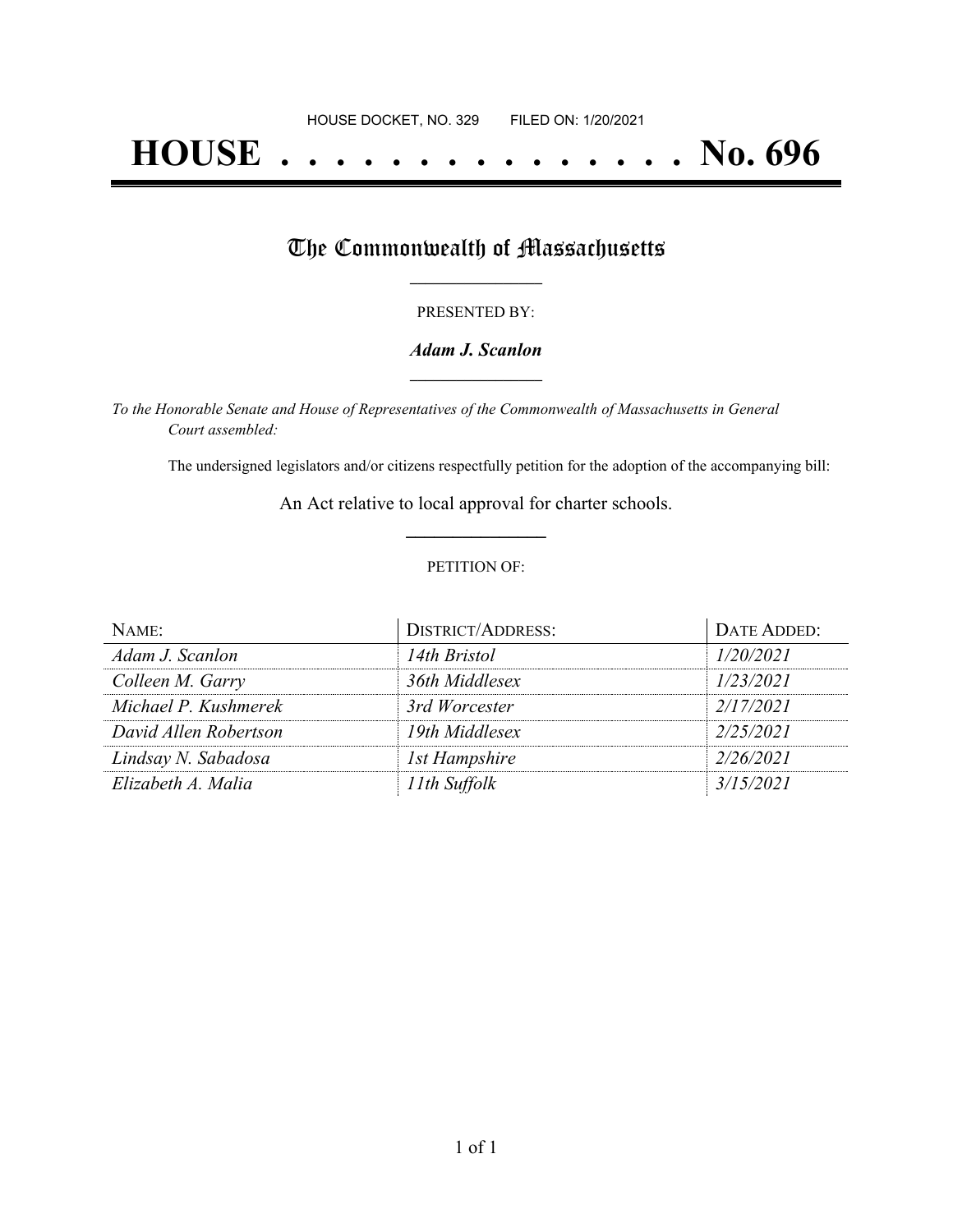## **HOUSE . . . . . . . . . . . . . . . No. 696**

### The Commonwealth of Massachusetts

#### PRESENTED BY:

#### *Adam J. Scanlon* **\_\_\_\_\_\_\_\_\_\_\_\_\_\_\_\_\_**

*To the Honorable Senate and House of Representatives of the Commonwealth of Massachusetts in General Court assembled:*

The undersigned legislators and/or citizens respectfully petition for the adoption of the accompanying bill:

An Act relative to local approval for charter schools. **\_\_\_\_\_\_\_\_\_\_\_\_\_\_\_**

#### PETITION OF:

| NAME <sup>.</sup>     | <b>DISTRICT/ADDRESS:</b> | DATE ADDED: |
|-----------------------|--------------------------|-------------|
| Adam J. Scanlon       | 14th Bristol             | 1/20/2021   |
| Colleen M. Garry      | 36th Middlesex           | 1/23/2021   |
| Michael P. Kushmerek  | 3rd Worcester            | 2/17/2021   |
| David Allen Robertson | 19th Middlesex           | 2/25/2021   |
| Lindsay N. Sabadosa   | 1st Hampshire            | 2/26/2021   |
| Elizabeth A. Malia    | 11th Suffolk             | 3/15/2021   |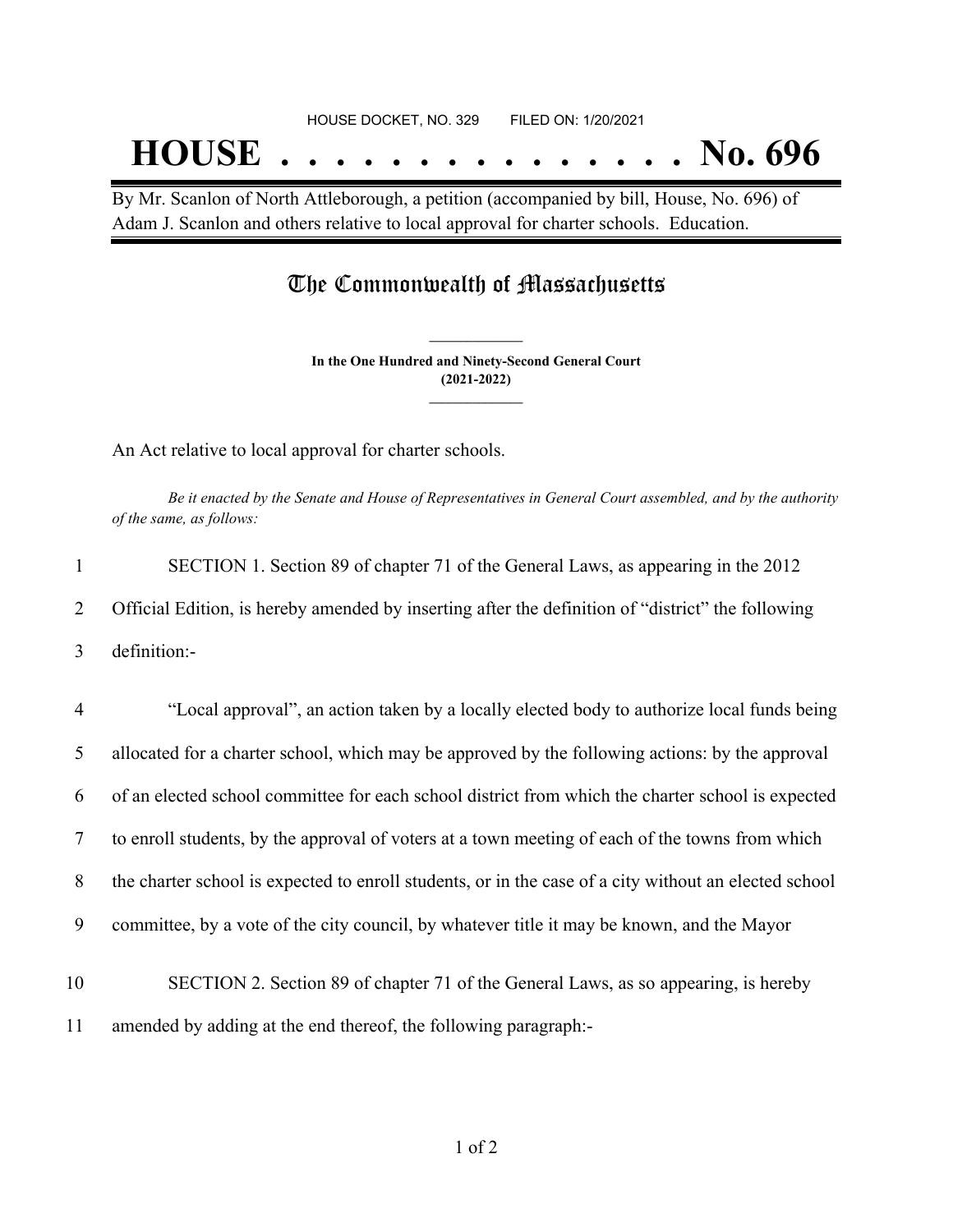# **HOUSE . . . . . . . . . . . . . . . No. 696**

By Mr. Scanlon of North Attleborough, a petition (accompanied by bill, House, No. 696) of Adam J. Scanlon and others relative to local approval for charter schools. Education.

## The Commonwealth of Massachusetts

**In the One Hundred and Ninety-Second General Court (2021-2022) \_\_\_\_\_\_\_\_\_\_\_\_\_\_\_**

**\_\_\_\_\_\_\_\_\_\_\_\_\_\_\_**

An Act relative to local approval for charter schools.

Be it enacted by the Senate and House of Representatives in General Court assembled, and by the authority *of the same, as follows:*

| 2              | Official Edition, is hereby amended by inserting after the definition of "district" the following     |
|----------------|-------------------------------------------------------------------------------------------------------|
|                |                                                                                                       |
| 3              | definition:-                                                                                          |
|                |                                                                                                       |
| $\overline{4}$ | "Local approval", an action taken by a locally elected body to authorize local funds being            |
| 5              | allocated for a charter school, which may be approved by the following actions: by the approval       |
| 6              | of an elected school committee for each school district from which the charter school is expected     |
| 7              | to enroll students, by the approval of voters at a town meeting of each of the towns from which       |
| 8              | the charter school is expected to enroll students, or in the case of a city without an elected school |
| 9              | committee, by a vote of the city council, by whatever title it may be known, and the Mayor            |
|                |                                                                                                       |
| 10             | SECTION 2. Section 89 of chapter 71 of the General Laws, as so appearing, is hereby                   |
| 11             | amended by adding at the end thereof, the following paragraph:-                                       |